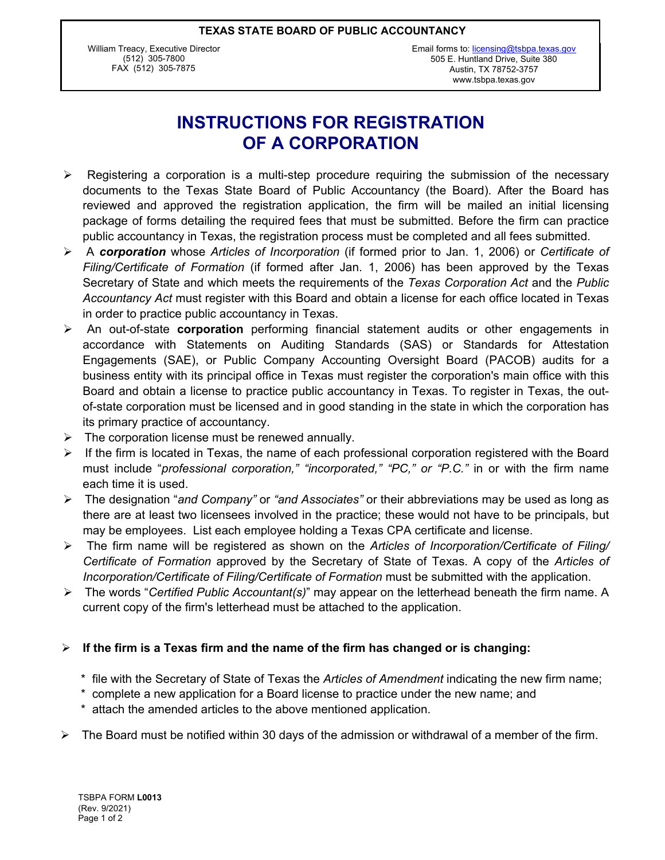#### **TEXAS STATE BOARD OF PUBLIC ACCOUNTANCY**

William Treacy, Executive Director (512) 305-7800 FAX (512) 305-7875

## **INSTRUCTIONS FOR REGISTRATION OF A CORPORATION**

- $\triangleright$  Registering a corporation is a multi-step procedure requiring the submission of the necessary documents to the Texas State Board of Public Accountancy (the Board). After the Board has reviewed and approved the registration application, the firm will be mailed an initial licensing package of forms detailing the required fees that must be submitted. Before the firm can practice public accountancy in Texas, the registration process must be completed and all fees submitted.
- ÿ A *corporation* whose *Articles of Incorporation* (if formed prior to Jan. 1, 2006) or *Certificate of Filing/Certificate of Formation* (if formed after Jan. 1, 2006) has been approved by the Texas Secretary of State and which meets the requirements of the *Texas Corporation Act* and the *Public Accountancy Act* must register with this Board and obtain a license for each office located in Texas in order to practice public accountancy in Texas.
- ÿ An out-of-state **corporation** performing financial statement audits or other engagements in accordance with Statements on Auditing Standards (SAS) or Standards for Attestation Engagements (SAE), or Public Company Accounting Oversight Board (PACOB) audits for a business entity with its principal office in Texas must register the corporation's main office with this Board and obtain a license to practice public accountancy in Texas. To register in Texas, the outof-state corporation must be licensed and in good standing in the state in which the corporation has its primary practice of accountancy.
- $\triangleright$  The corporation license must be renewed annually.
- $\triangleright$  If the firm is located in Texas, the name of each professional corporation registered with the Board must include "*professional corporation," "incorporated," "PC," or "P.C."* in or with the firm name each time it is used.
- ÿ The designation "*and Company"* or *"and Associates"* or their abbreviations may be used as long as there are at least two licensees involved in the practice; these would not have to be principals, but may be employees. List each employee holding a Texas CPA certificate and license.
- ÿ The firm name will be registered as shown on the *Articles of Incorporation/Certificate of Filing/ Certificate of Formation* approved by the Secretary of State of Texas. A copy of the *Articles of Incorporation/Certificate of Filing/Certificate of Formation* must be submitted with the application.
- ÿ The words "*Certified Public Accountant(s)*" may appear on the letterhead beneath the firm name. A current copy of the firm's letterhead must be attached to the application.

#### $\triangleright$  If the firm is a Texas firm and the name of the firm has changed or is changing:

- \* file with the Secretary of State of Texas the *Articles of Amendment* indicating the new firm name;
- \* complete a new application for a Board license to practice under the new name; and
- \* attach the amended articles to the above mentioned application.
- $\triangleright$  The Board must be notified within 30 days of the admission or withdrawal of a member of the firm.